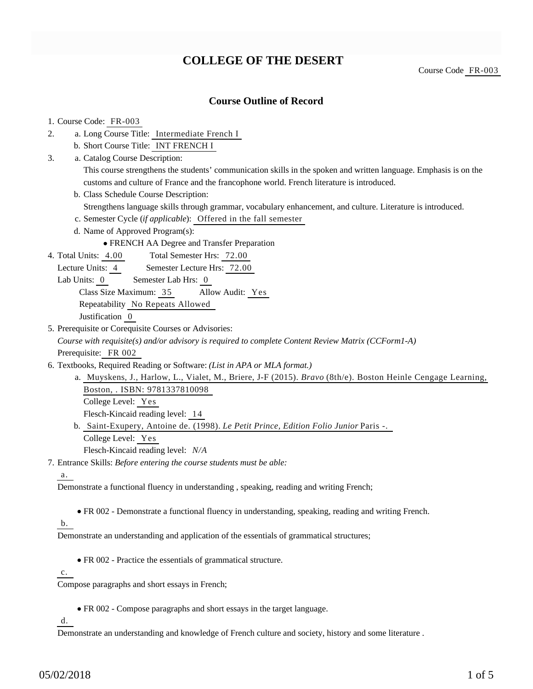# **COLLEGE OF THE DESERT**

Course Code FR-003

### **Course Outline of Record**

#### 1. Course Code: FR-003

- a. Long Course Title: Intermediate French I 2.
	- b. Short Course Title: INT FRENCH I
- Catalog Course Description: a. 3.

This course strengthens the students' communication skills in the spoken and written language. Emphasis is on the customs and culture of France and the francophone world. French literature is introduced.

b. Class Schedule Course Description:

Strengthens language skills through grammar, vocabulary enhancement, and culture. Literature is introduced.

- c. Semester Cycle (*if applicable*): Offered in the fall semester
- d. Name of Approved Program(s):

FRENCH AA Degree and Transfer Preparation

Total Semester Hrs: 72.00 4. Total Units: 4.00

Lecture Units: 4 Semester Lecture Hrs: 72.00

Lab Units: 0 Semester Lab Hrs: 0

Class Size Maximum: 35 Allow Audit: Yes

Repeatability No Repeats Allowed

Justification 0

5. Prerequisite or Corequisite Courses or Advisories:

*Course with requisite(s) and/or advisory is required to complete Content Review Matrix (CCForm1-A)* Prerequisite: FR 002

- 6. Textbooks, Required Reading or Software: (List in APA or MLA format.)
	- a. Muyskens, J., Harlow, L., Vialet, M., Briere, J-F (2015). *Bravo* (8th/e). Boston Heinle Cengage Learning, Boston, . ISBN: 9781337810098 College Level: Yes

Flesch-Kincaid reading level: 14

b. Saint-Exupery, Antoine de. (1998). Le Petit Prince, Edition Folio Junior Paris -.

College Level: Yes

Flesch-Kincaid reading level: *N/A*

Entrance Skills: *Before entering the course students must be able:* 7.

a.

Demonstrate a functional fluency in understanding , speaking, reading and writing French;

FR 002 - Demonstrate a functional fluency in understanding, speaking, reading and writing French.

#### b.

Demonstrate an understanding and application of the essentials of grammatical structures;

FR 002 - Practice the essentials of grammatical structure.

 $\mathbf{c}$ .

Compose paragraphs and short essays in French;

FR 002 - Compose paragraphs and short essays in the target language.

d.

Demonstrate an understanding and knowledge of French culture and society, history and some literature .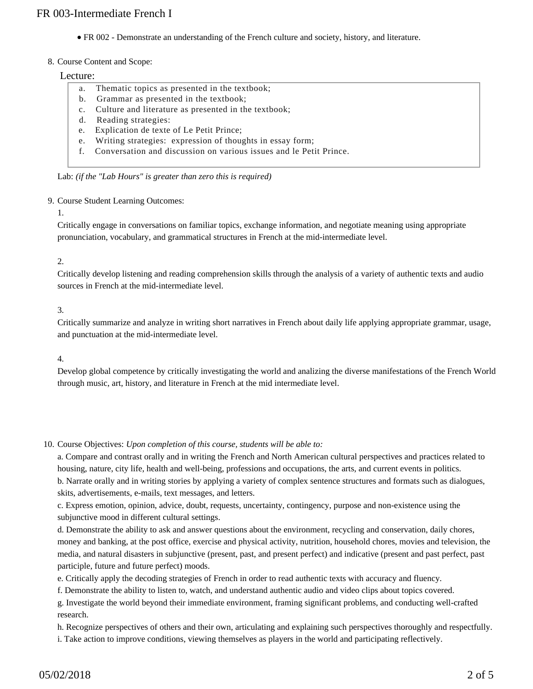FR 002 - Demonstrate an understanding of the French culture and society, history, and literature.

#### 8. Course Content and Scope:

#### Lecture:

- a. Thematic topics as presented in the textbook;
- b. Grammar as presented in the textbook;
- c. Culture and literature as presented in the textbook;
- d. Reading strategies:
- e. Explication de texte of Le Petit Prince;
- e. Writing strategies: expression of thoughts in essay form;
- f. Conversation and discussion on various issues and le Petit Prince.

Lab: *(if the "Lab Hours" is greater than zero this is required)*

#### 9. Course Student Learning Outcomes:

#### 1.

Critically engage in conversations on familiar topics, exchange information, and negotiate meaning using appropriate pronunciation, vocabulary, and grammatical structures in French at the mid-intermediate level.

#### 2.

Critically develop listening and reading comprehension skills through the analysis of a variety of authentic texts and audio sources in French at the mid-intermediate level.

#### 3.

Critically summarize and analyze in writing short narratives in French about daily life applying appropriate grammar, usage, and punctuation at the mid-intermediate level.

#### 4.

Develop global competence by critically investigating the world and analizing the diverse manifestations of the French World through music, art, history, and literature in French at the mid intermediate level.

10. Course Objectives: Upon completion of this course, students will be able to:

a. Compare and contrast orally and in writing the French and North American cultural perspectives and practices related to housing, nature, city life, health and well-being, professions and occupations, the arts, and current events in politics.

b. Narrate orally and in writing stories by applying a variety of complex sentence structures and formats such as dialogues, skits, advertisements, e-mails, text messages, and letters.

c. Express emotion, opinion, advice, doubt, requests, uncertainty, contingency, purpose and non-existence using the subjunctive mood in different cultural settings.

d. Demonstrate the ability to ask and answer questions about the environment, recycling and conservation, daily chores, money and banking, at the post office, exercise and physical activity, nutrition, household chores, movies and television, the media, and natural disasters in subjunctive (present, past, and present perfect) and indicative (present and past perfect, past participle, future and future perfect) moods.

e. Critically apply the decoding strategies of French in order to read authentic texts with accuracy and fluency.

f. Demonstrate the ability to listen to, watch, and understand authentic audio and video clips about topics covered.

g. Investigate the world beyond their immediate environment, framing significant problems, and conducting well-crafted research.

h. Recognize perspectives of others and their own, articulating and explaining such perspectives thoroughly and respectfully. i. Take action to improve conditions, viewing themselves as players in the world and participating reflectively.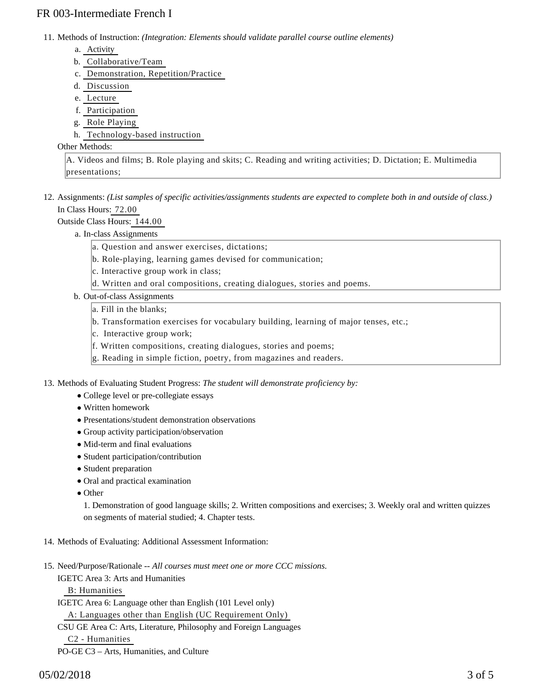## FR 003-Intermediate French I

11. Methods of Instruction: *(Integration: Elements should validate parallel course outline elements)* 

- a. Activity
- b. Collaborative/Team
- c. Demonstration, Repetition/Practice
- d. Discussion
- e. Lecture
- f. Participation
- g. Role Playing
- h. Technology-based instruction

#### Other Methods:

A. Videos and films; B. Role playing and skits; C. Reading and writing activities; D. Dictation; E. Multimedia presentations;

12. Assignments: (List samples of specific activities/assignments students are expected to complete both in and outside of class.) In Class Hours: 72.00

Outside Class Hours: 144.00

- a. In-class Assignments
	- a. Question and answer exercises, dictations;
	- b. Role-playing, learning games devised for communication;
	- c. Interactive group work in class;
	- d. Written and oral compositions, creating dialogues, stories and poems.
- b. Out-of-class Assignments
	- a. Fill in the blanks;
	- b. Transformation exercises for vocabulary building, learning of major tenses, etc.;
	- c. Interactive group work;
	- f. Written compositions, creating dialogues, stories and poems;
	- g. Reading in simple fiction, poetry, from magazines and readers.

13. Methods of Evaluating Student Progress: The student will demonstrate proficiency by:

- College level or pre-collegiate essays
- Written homework
- Presentations/student demonstration observations
- Group activity participation/observation
- Mid-term and final evaluations
- Student participation/contribution
- Student preparation
- Oral and practical examination
- Other

1. Demonstration of good language skills; 2. Written compositions and exercises; 3. Weekly oral and written quizzes on segments of material studied; 4. Chapter tests.

- 14. Methods of Evaluating: Additional Assessment Information:
- 15. Need/Purpose/Rationale -- All courses must meet one or more CCC missions.
	- IGETC Area 3: Arts and Humanities

B: Humanities

IGETC Area 6: Language other than English (101 Level only)

A: Languages other than English (UC Requirement Only)

CSU GE Area C: Arts, Literature, Philosophy and Foreign Languages

C2 - Humanities

PO-GE C3 – Arts, Humanities, and Culture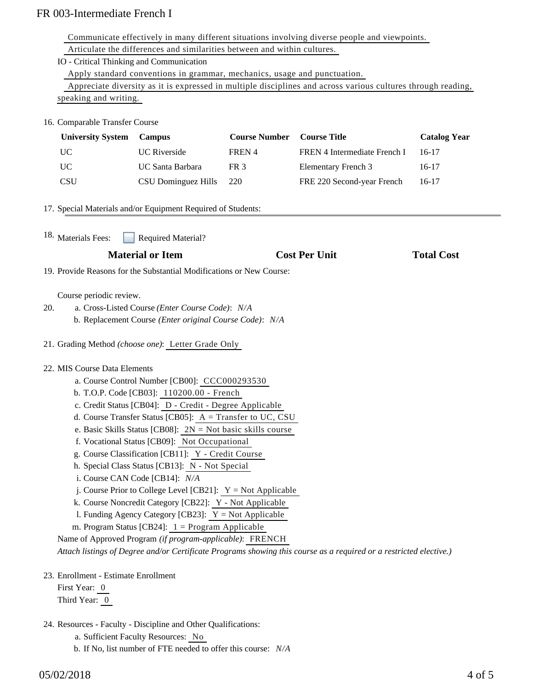# FR 003-Intermediate French I

| Communicate effectively in many different situations involving diverse people and viewpoints. |  |
|-----------------------------------------------------------------------------------------------|--|
|-----------------------------------------------------------------------------------------------|--|

| Articulate the differences and similarities between and within cultures.                                                                     |                                                                                                                                                                                                                                                                                                                                                                                                                                                                                                                                                                                                                                                                                                                                                                                            |                      |                                                                                                                    |                     |  |  |
|----------------------------------------------------------------------------------------------------------------------------------------------|--------------------------------------------------------------------------------------------------------------------------------------------------------------------------------------------------------------------------------------------------------------------------------------------------------------------------------------------------------------------------------------------------------------------------------------------------------------------------------------------------------------------------------------------------------------------------------------------------------------------------------------------------------------------------------------------------------------------------------------------------------------------------------------------|----------------------|--------------------------------------------------------------------------------------------------------------------|---------------------|--|--|
| IO - Critical Thinking and Communication                                                                                                     |                                                                                                                                                                                                                                                                                                                                                                                                                                                                                                                                                                                                                                                                                                                                                                                            |                      |                                                                                                                    |                     |  |  |
| Apply standard conventions in grammar, mechanics, usage and punctuation.                                                                     |                                                                                                                                                                                                                                                                                                                                                                                                                                                                                                                                                                                                                                                                                                                                                                                            |                      |                                                                                                                    |                     |  |  |
| Appreciate diversity as it is expressed in multiple disciplines and across various cultures through reading,                                 |                                                                                                                                                                                                                                                                                                                                                                                                                                                                                                                                                                                                                                                                                                                                                                                            |                      |                                                                                                                    |                     |  |  |
| speaking and writing.                                                                                                                        |                                                                                                                                                                                                                                                                                                                                                                                                                                                                                                                                                                                                                                                                                                                                                                                            |                      |                                                                                                                    |                     |  |  |
| 16. Comparable Transfer Course                                                                                                               |                                                                                                                                                                                                                                                                                                                                                                                                                                                                                                                                                                                                                                                                                                                                                                                            |                      |                                                                                                                    |                     |  |  |
| <b>University System</b>                                                                                                                     | Campus                                                                                                                                                                                                                                                                                                                                                                                                                                                                                                                                                                                                                                                                                                                                                                                     | <b>Course Number</b> | <b>Course Title</b>                                                                                                | <b>Catalog Year</b> |  |  |
| <b>UC</b>                                                                                                                                    | <b>UC</b> Riverside                                                                                                                                                                                                                                                                                                                                                                                                                                                                                                                                                                                                                                                                                                                                                                        | FREN 4               | FREN 4 Intermediate French I                                                                                       | $16-17$             |  |  |
| <b>UC</b>                                                                                                                                    | <b>UC</b> Santa Barbara                                                                                                                                                                                                                                                                                                                                                                                                                                                                                                                                                                                                                                                                                                                                                                    | FR <sub>3</sub>      | <b>Elementary French 3</b>                                                                                         | $16-17$             |  |  |
| <b>CSU</b>                                                                                                                                   | <b>CSU Dominguez Hills</b>                                                                                                                                                                                                                                                                                                                                                                                                                                                                                                                                                                                                                                                                                                                                                                 | 220                  | FRE 220 Second-year French                                                                                         | $16-17$             |  |  |
| 17. Special Materials and/or Equipment Required of Students:                                                                                 |                                                                                                                                                                                                                                                                                                                                                                                                                                                                                                                                                                                                                                                                                                                                                                                            |                      |                                                                                                                    |                     |  |  |
| 18. Materials Fees:<br><b>Required Material?</b>                                                                                             |                                                                                                                                                                                                                                                                                                                                                                                                                                                                                                                                                                                                                                                                                                                                                                                            |                      |                                                                                                                    |                     |  |  |
|                                                                                                                                              | <b>Material or Item</b>                                                                                                                                                                                                                                                                                                                                                                                                                                                                                                                                                                                                                                                                                                                                                                    |                      | <b>Cost Per Unit</b>                                                                                               | <b>Total Cost</b>   |  |  |
| 19. Provide Reasons for the Substantial Modifications or New Course:                                                                         |                                                                                                                                                                                                                                                                                                                                                                                                                                                                                                                                                                                                                                                                                                                                                                                            |                      |                                                                                                                    |                     |  |  |
|                                                                                                                                              |                                                                                                                                                                                                                                                                                                                                                                                                                                                                                                                                                                                                                                                                                                                                                                                            |                      |                                                                                                                    |                     |  |  |
| Course periodic review.<br>a. Cross-Listed Course (Enter Course Code): N/A<br>20.<br>b. Replacement Course (Enter original Course Code): N/A |                                                                                                                                                                                                                                                                                                                                                                                                                                                                                                                                                                                                                                                                                                                                                                                            |                      |                                                                                                                    |                     |  |  |
| 21. Grading Method (choose one): Letter Grade Only                                                                                           |                                                                                                                                                                                                                                                                                                                                                                                                                                                                                                                                                                                                                                                                                                                                                                                            |                      |                                                                                                                    |                     |  |  |
| 22. MIS Course Data Elements                                                                                                                 | a. Course Control Number [CB00]: CCC000293530<br>b. T.O.P. Code [CB03]: 110200.00 - French<br>c. Credit Status [CB04]: D - Credit - Degree Applicable<br>d. Course Transfer Status [CB05]: $A = Transfer to UC, CSU$<br>e. Basic Skills Status [CB08]: $2N = Not basic skills course$<br>f. Vocational Status [CB09]: Not Occupational<br>g. Course Classification [CB11]: Y - Credit Course<br>h. Special Class Status [CB13]: N - Not Special<br>i. Course CAN Code [CB14]: N/A<br>j. Course Prior to College Level [CB21]: $Y = Not$ Applicable<br>k. Course Noncredit Category [CB22]: Y - Not Applicable<br>1. Funding Agency Category [CB23]: $Y = Not$ Applicable<br>m. Program Status [CB24]: $1 =$ Program Applicable<br>Name of Approved Program (if program-applicable): FRENCH |                      | Attach listings of Degree and/or Certificate Programs showing this course as a required or a restricted elective.) |                     |  |  |
| 23. Enrollment - Estimate Enrollment<br>First Year: 0<br>Third Year: 0                                                                       |                                                                                                                                                                                                                                                                                                                                                                                                                                                                                                                                                                                                                                                                                                                                                                                            |                      |                                                                                                                    |                     |  |  |

- 24. Resources Faculty Discipline and Other Qualifications:
	- a. Sufficient Faculty Resources: No
	- b. If No, list number of FTE needed to offer this course: *N/A*